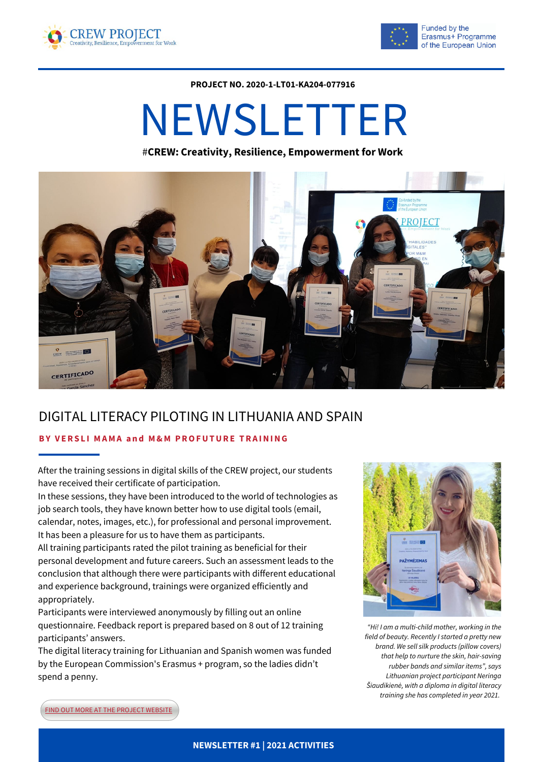



**PROJECT NO. 2020-1-LT01-KA204-077916**

# NEWSLETTER

#**CREW: Creativity, Resilience, Empowerment for Work**



## DIGITAL LITERACY PILOTING IN LITHUANIA AND SPAIN

#### **BY V ERS L I MAMA a n d M&M PROFUTURE TRA INING**

After the training sessions in digital skills of the CREW project, our students have received their certificate of participation.

In these sessions, they have been introduced to the world of technologies as job search tools, they have known better how to use digital tools (email, calendar, notes, images, etc.), for professional and personal improvement. It has been a pleasure for us to have them as participants.

All training participants rated the pilot training as beneficial for their personal development and future careers. Such an assessment leads to the conclusion that although there were participants with different educational and experience background, trainings were organized efficiently and appropriately.

Participants were interviewed anonymously by filling out an online questionnaire. Feedback report is prepared based on 8 out of 12 training participants' answers.

The digital literacy training for Lithuanian and Spanish women was funded by the European Commission's Erasmus + program, so the ladies didn't spend a penny.



*"Hi! I am a multi-child mother, working in the field of beauty. Recently I started a pretty new brand. We sell silk products (pillow covers) that help to nurture the skin, hair-saving rubber bands and similar items", says Lithuanian project participant Neringa Šiaudikienė, with a diploma in digital literacy training she has completed in year 2021.*

**FIND OUT MORE AT THE [PROJECT](https://crewproject.eu/category/testimonials/) WEBSITE**